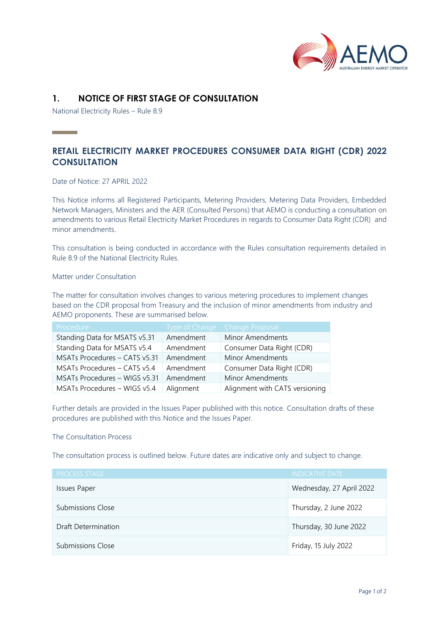

# **1. NOTICE OF FIRST STAGE OF CONSULTATION**

National Electricity Rules – Rule 8.9

# **RETAIL ELECTRICITY MARKET PROCEDURES CONSUMER DATA RIGHT (CDR) 2022 CONSULTATION**

Date of Notice: 27 APRIL 2022

This Notice informs all Registered Participants, Metering Providers, Metering Data Providers, Embedded Network Managers, Ministers and the AER (Consulted Persons) that AEMO is conducting a consultation on amendments to various Retail Electricity Market Procedures in regards to Consumer Data Right (CDR) and minor amendments.

This consultation is being conducted in accordance with the Rules consultation requirements detailed in Rule 8.9 of the National Electricity Rules.

Matter under Consultation

The matter for consultation involves changes to various metering procedures to implement changes based on the CDR proposal from Treasury and the inclusion of minor amendments from industry and AEMO proponents. These are summarised below.

| Procedure,                    |           | Type of Change Change Proposal |
|-------------------------------|-----------|--------------------------------|
| Standing Data for MSATS v5.31 | Amendment | Minor Amendments               |
| Standing Data for MSATS v5.4  | Amendment | Consumer Data Right (CDR)      |
| MSATs Procedures - CATS v5.31 | Amendment | Minor Amendments               |
| MSATs Procedures - CATS v5.4  | Amendment | Consumer Data Right (CDR)      |
| MSATs Procedures - WIGS v5.31 | Amendment | Minor Amendments               |
| MSATs Procedures - WIGS v5.4  | Alignment | Alignment with CATS versioning |

Further details are provided in the Issues Paper published with this notice. Consultation drafts of these procedures are published with this Notice and the Issues Paper.

## The Consultation Process

The consultation process is outlined below. Future dates are indicative only and subject to change.

| <b>PROCESS STAGE</b>     | <b>INDICATIVE DATE</b>   |
|--------------------------|--------------------------|
| <b>Issues Paper</b>      | Wednesday, 27 April 2022 |
| Submissions Close        | Thursday, 2 June 2022    |
| Draft Determination      | Thursday, 30 June 2022   |
| <b>Submissions Close</b> | Friday, 15 July 2022     |